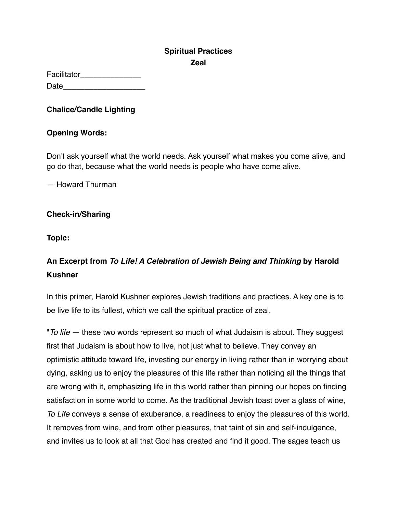## **Spiritual Practices Zeal**

| Facilitator |  |
|-------------|--|
| Date        |  |

## **Chalice/Candle Lighting**

## **Opening Words:**

Don't ask yourself what the world needs. Ask yourself what makes you come alive, and go do that, because what the world needs is people who have come alive.

— Howard Thurman

## **Check-in/Sharing**

**Topic:**

# **An Excerpt from** *To Life! A Celebration of Jewish Being and Thinking* **by Harold Kushner**

In this primer, Harold Kushner explores Jewish traditions and practices. A key one is to be live life to its fullest, which we call the spiritual practice of zeal.

"*To life* — these two words represent so much of what Judaism is about. They suggest first that Judaism is about how to live, not just what to believe. They convey an optimistic attitude toward life, investing our energy in living rather than in worrying about dying, asking us to enjoy the pleasures of this life rather than noticing all the things that are wrong with it, emphasizing life in this world rather than pinning our hopes on finding satisfaction in some world to come. As the traditional Jewish toast over a glass of wine, *To Life* conveys a sense of exuberance, a readiness to enjoy the pleasures of this world. It removes from wine, and from other pleasures, that taint of sin and self-indulgence, and invites us to look at all that God has created and find it good. The sages teach us